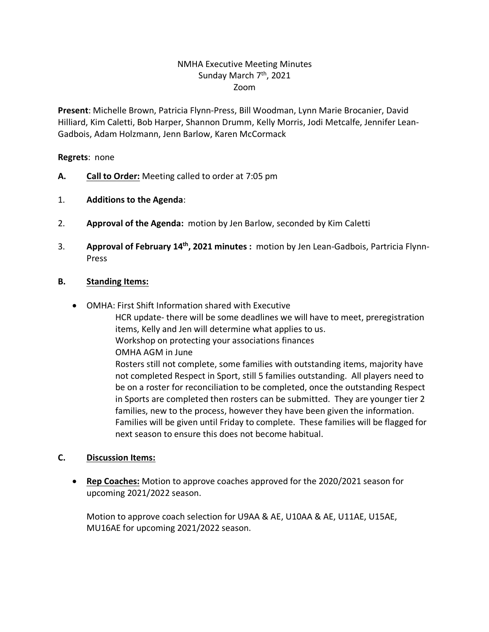## NMHA Executive Meeting Minutes Sunday March 7<sup>th</sup>, 2021 Zoom

**Present**: Michelle Brown, Patricia Flynn-Press, Bill Woodman, Lynn Marie Brocanier, David Hilliard, Kim Caletti, Bob Harper, Shannon Drumm, Kelly Morris, Jodi Metcalfe, Jennifer Lean-Gadbois, Adam Holzmann, Jenn Barlow, Karen McCormack

**Regrets**: none

- **A. Call to Order:** Meeting called to order at 7:05 pm
- 1. **Additions to the Agenda**:
- 2. **Approval of the Agenda:** motion by Jen Barlow, seconded by Kim Caletti
- 3. **Approval of February 14th, 2021 minutes :** motion by Jen Lean-Gadbois, Partricia Flynn-Press

## **B. Standing Items:**

- OMHA: First Shift Information shared with Executive
	- HCR update- there will be some deadlines we will have to meet, preregistration items, Kelly and Jen will determine what applies to us. Workshop on protecting your associations finances OMHA AGM in June Rosters still not complete, some families with outstanding items, majority have not completed Respect in Sport, still 5 families outstanding. All players need to be on a roster for reconciliation to be completed, once the outstanding Respect in Sports are completed then rosters can be submitted. They are younger tier 2 families, new to the process, however they have been given the information. Families will be given until Friday to complete. These families will be flagged for next season to ensure this does not become habitual.

## **C. Discussion Items:**

• **Rep Coaches:** Motion to approve coaches approved for the 2020/2021 season for upcoming 2021/2022 season.

Motion to approve coach selection for U9AA & AE, U10AA & AE, U11AE, U15AE, MU16AE for upcoming 2021/2022 season.